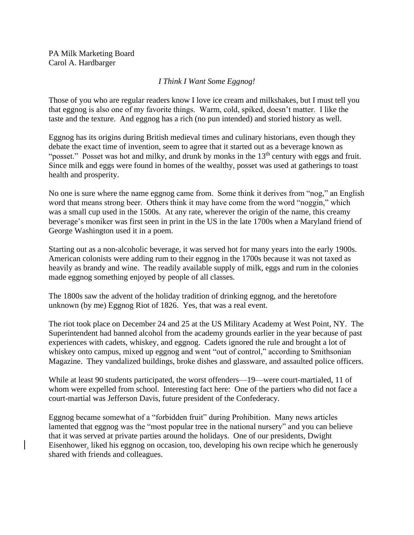PA Milk Marketing Board Carol A. Hardbarger

## *I Think I Want Some Eggnog!*

Those of you who are regular readers know I love ice cream and milkshakes, but I must tell you that eggnog is also one of my favorite things. Warm, cold, spiked, doesn't matter. I like the taste and the texture. And eggnog has a rich (no pun intended) and storied history as well.

Eggnog has its origins during British medieval times and culinary historians, even though they debate the exact time of invention, seem to agree that it started out as a beverage known as "posset." Posset was hot and milky, and drunk by monks in the 13<sup>th</sup> century with eggs and fruit. Since milk and eggs were found in homes of the wealthy, posset was used at gatherings to toast health and prosperity.

No one is sure where the name eggnog came from. Some think it derives from "nog," an English word that means strong beer. Others think it may have come from the word "noggin," which was a small cup used in the 1500s. At any rate, wherever the origin of the name, this creamy beverage's moniker was first seen in print in the US in the late 1700s when a Maryland friend of George Washington used it in a poem.

Starting out as a non-alcoholic beverage, it was served hot for many years into the early 1900s. American colonists were adding rum to their eggnog in the 1700s because it was not taxed as heavily as brandy and wine. The readily available supply of milk, eggs and rum in the colonies made eggnog something enjoyed by people of all classes.

The 1800s saw the advent of the holiday tradition of drinking eggnog, and the heretofore unknown (by me) Eggnog Riot of 1826. Yes, that was a real event.

The riot took place on December 24 and 25 at the US Military Academy at West Point, NY. The Superintendent had banned alcohol from the academy grounds earlier in the year because of past experiences with cadets, whiskey, and eggnog. Cadets ignored the rule and brought a lot of whiskey onto campus, mixed up eggnog and went "out of control," according to Smithsonian Magazine. They vandalized buildings, broke dishes and glassware, and assaulted police officers.

While at least 90 students participated, the worst offenders—19—were court-martialed, 11 of whom were expelled from school. Interesting fact here: One of the partiers who did not face a court-martial was Jefferson Davis, future president of the Confederacy.

Eggnog became somewhat of a "forbidden fruit" during Prohibition. Many news articles lamented that eggnog was the "most popular tree in the national nursery" and you can believe that it was served at private parties around the holidays. One of our presidents, Dwight Eisenhower, liked his eggnog on occasion, too, developing his own recipe which he generously shared with friends and colleagues.